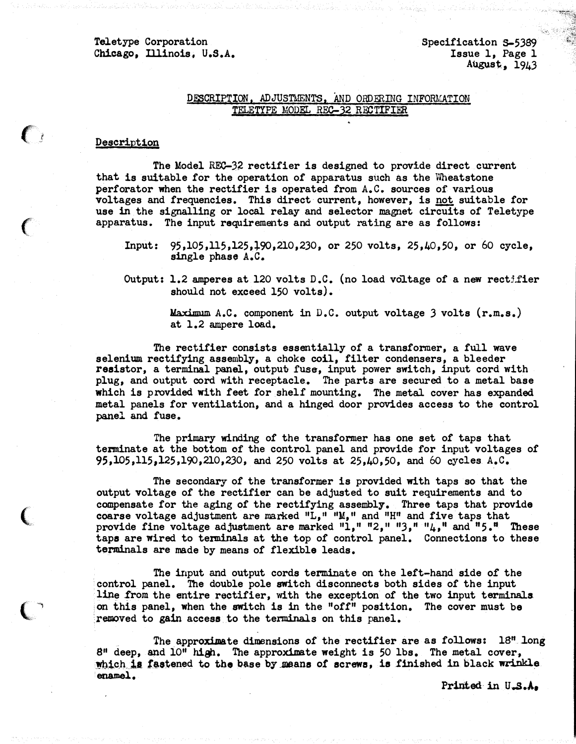## Teletype Corporation Chicago, illinois. U.S.A.

## DESCRIPTION, ADJUSTMENTS, AND ORDERING INFORMATION TELETYPE MODEL REC-32 RECTIFIER

## Description

 $\epsilon$ 

 $\big($ 

The Model REC-3� rectifier is designed to provide direct current that is suitable for the operation of apparatus such as the Wheatstone perforator when the rectifier is operated from A.C. sources of various voltages and frequencies. This direct current, however, is not suitable for use in the signalling or local relay and selector magnet circuits of Teletype apparatus. The input requirements and output rating are as follows:

- Input: 95,105,115,125,+90,210,230, or 250 volts, 25,40,50, or 60 cycle, single phase A.C.
- Output: 1.2 amperes at 120 volts D.C. (no load voltage of a new rectifier should not exceed 150 volts).

Maximum A.C. component in D.C. output voltage 3 volts  $(r, m, s.)$ at 1.2 ampere load.

The rectifier consists essentially of a transformer, a full wave selenium rectifying assembly, a choke coil, filter condensers, a bleeder resistor, a terminal panel, outpub fuse, input power switch, input cord with plug, and output cord with receptacle. The parts are secured to a metal base which is provided with feet for shelf mounting. The metal cover has expanded metal panels for ventilation, and a hinged door provides access to the control panel and fuse.

The primary winding of the transformer has one set of taps that terminate at the bottom of the control panel and provide for input voltages of 95,105,115,l25,190,210,230, and 250 volts at 25,40,50, and 60 cycles A.C.

The secondary of the transformer is provided with taps so that the output voltage of the rectifier can be adjusted to suit requirements and to compensate for the aging of the rectifying assembly. Three taps that provide coarse voltage adjustment are marked  $"L, "''M, "$  and  $"H"$  and five taps that provide fine voltage adjustment are marked  $1,$ "  $2,$ ",  $7,$ "  $1,$ " and " $5.$ " These taps are wired to terminals at the top of control panel. Connections to these terminals are made by means of flexible leads.

The input and output cords terminate on the left-hand side of the control panel. The double pole switch disconnects both sides of the input line Irom the entire rectifier, with the exception of the two input terminals on this panel, when the switch is in the "off" position. The cover must be removed to gain access to the terminals on this panel.

The approximate dimensions of the rectifier are as follows: 18" long  $8<sup>11</sup>$  deep, and  $10<sup>11</sup>$  high. The approximate weight is 50 lbs. The metal cover, which is fastened to the base by means of screws, is finished in black wrinkle enamel.

Printed in U.S.A.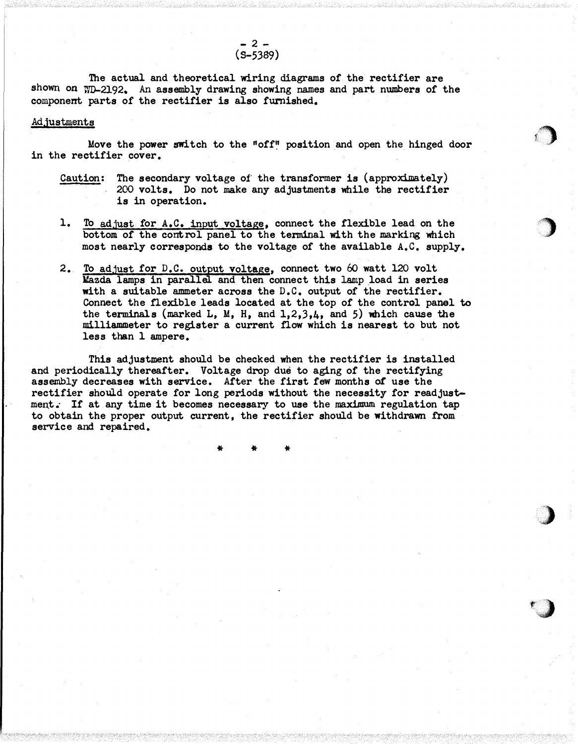The actual and theoretical wiring diagrams of the rectifier are shown on WD-2192. An assembly drawing showing names and part numbers of the component parts of the rectifier is also furnished.

## Adjustments

Move the power switch to the "off" position and open the hinged door in the rectifier cover.

 $\bigcirc$ 

 $\overline{\phantom{a}}$ 

)

 $\left( \begin{array}{c} \lambda \end{array} \right)$ 

- Caution: The secondary voltage of the transformer is  $(\text{approximately})$ 200 volts. Do not make any adjustments while the rectifier is in operation.
- 1. To adjust for A.C. input voltage, connect the flexible lead on the bottom of the control panel to the terminal with the marking which most nearly corresponds to the voltage of the available A.C. supply.
- 2. To adjust for D.C. output voltage, connect two 60 watt 120 volt Mazda lamps in parallel and then connect this lamp load in series with a suitable ammeter across the D.C. output of the rectifier. Connect the flexible leads located at the top of the control panel to the terminals (marked L, M, H, and 1,2,3,4, and 5) which cause the milliammeter to register a current flow which is nearest to but not less than 1 ampere.

This adjustment should be checked when the rectifier is installed and periodically thereafter. Voltage drop due to aging of the rectifying assembly decreases with service. After the first few months of use the rectifier should operate for long periods without the necessity for readjustment. If at any time it becomes necessary to use the maximum regulation tap to obtain the proper output current, the rectifier should be withdrawn from service and repaired.

\* \* \*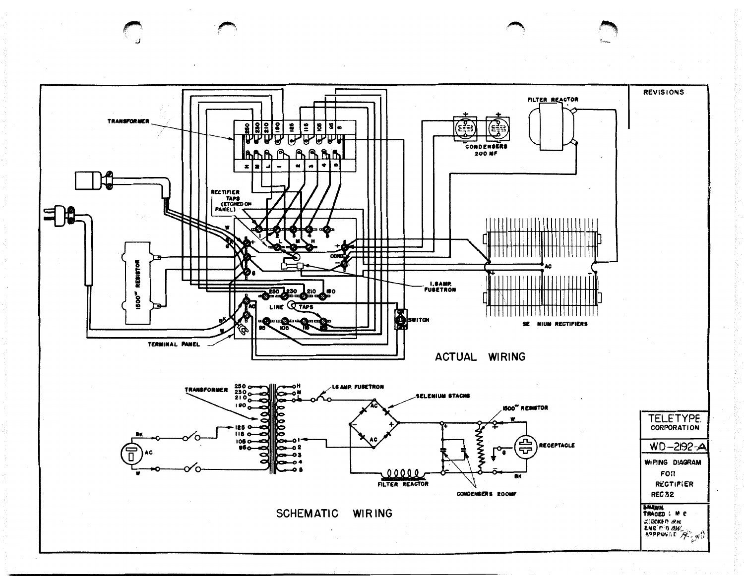